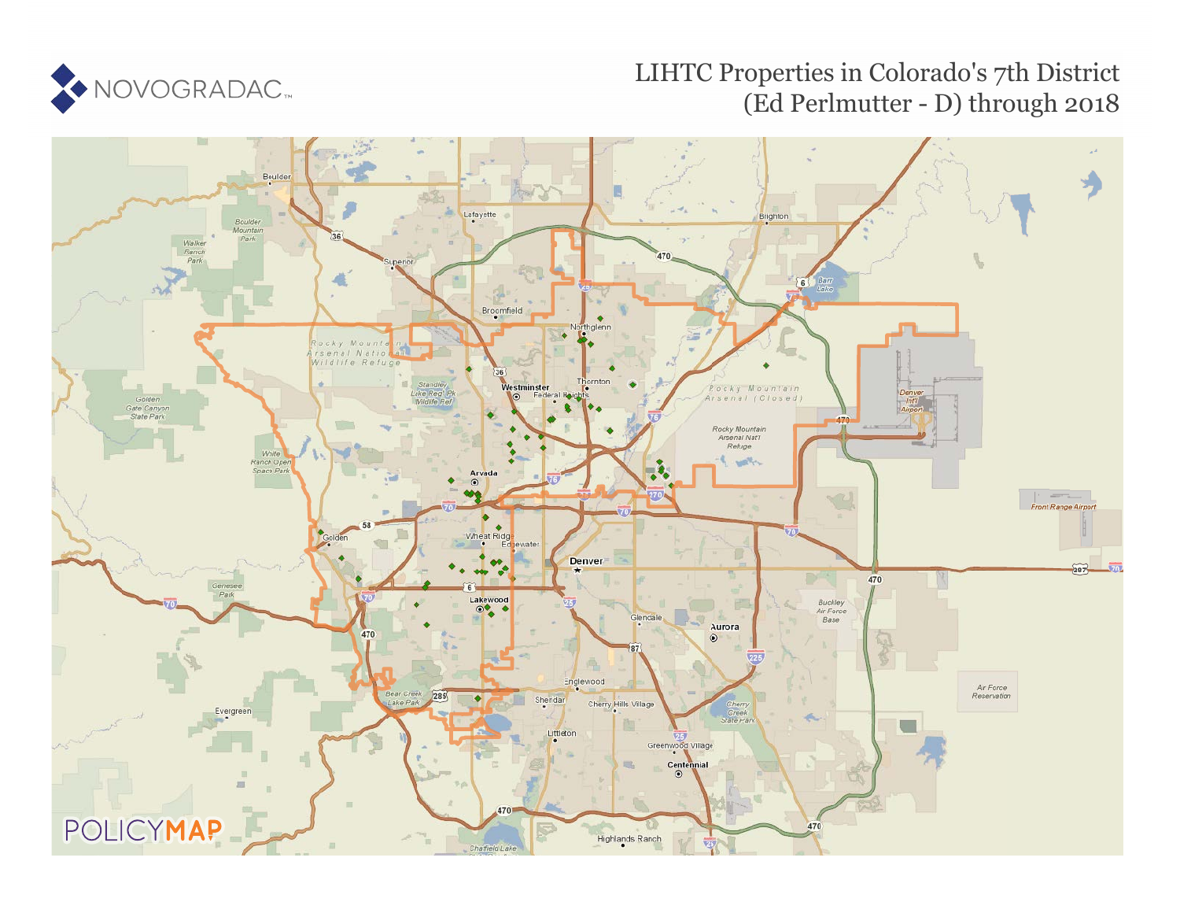

#### LIHTC Properties in Colorado's 7th District (Ed Perlmutter - D) through 2018

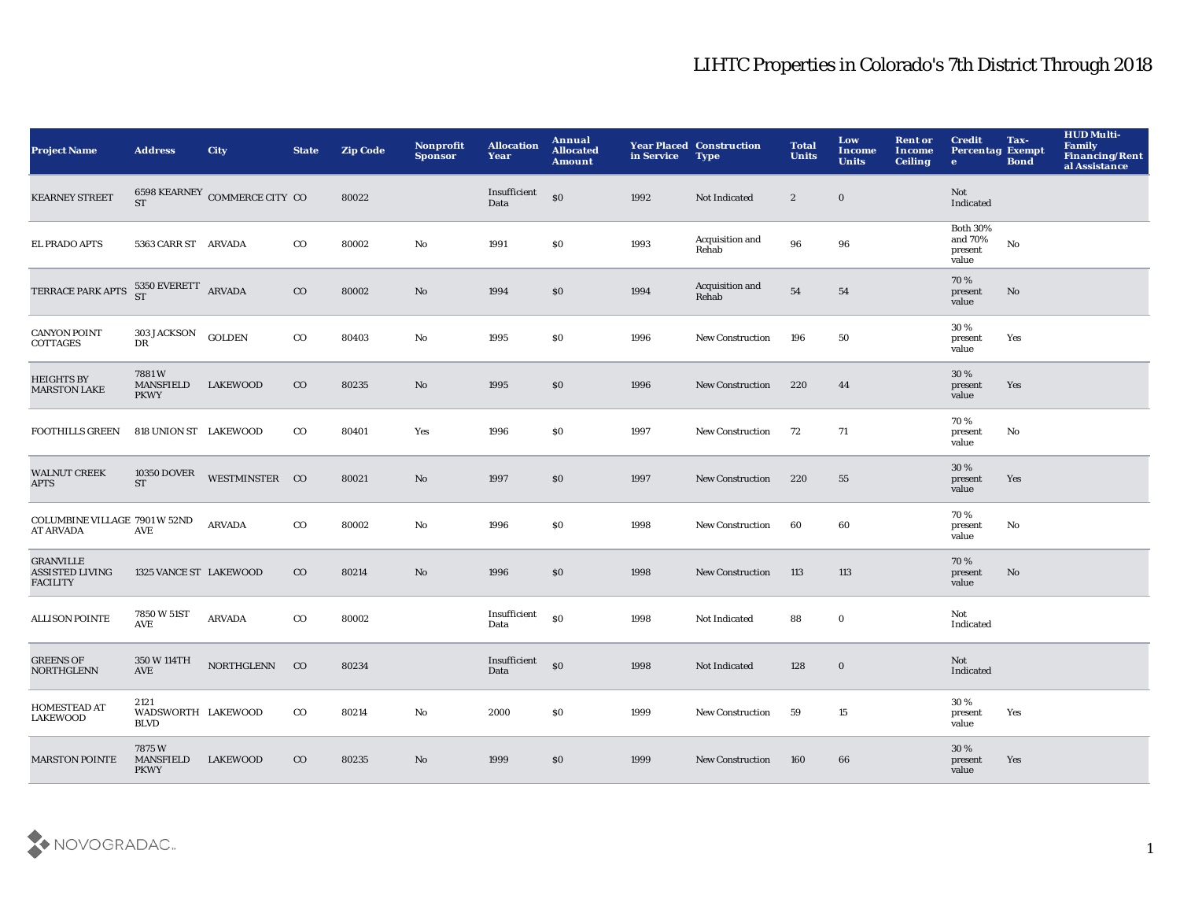| <b>Project Name</b>                                           | <b>Address</b>                            | <b>City</b>                   | <b>State</b> | <b>Zip Code</b> | Nonprofit<br><b>Sponsor</b> | <b>Allocation</b><br>Year | Annual<br><b>Allocated</b><br>Amount | in Service | <b>Year Placed Construction</b><br><b>Type</b> | <b>Total</b><br><b>Units</b> | Low<br>Income<br><b>Units</b> | <b>Rent or</b><br>Income<br><b>Ceiling</b> | <b>Credit</b><br><b>Percentag Exempt</b><br>$\mathbf{e}$ | Tax-<br><b>Bond</b> | <b>HUD Multi-</b><br>Family<br><b>Financing/Rent</b><br>al Assistance |
|---------------------------------------------------------------|-------------------------------------------|-------------------------------|--------------|-----------------|-----------------------------|---------------------------|--------------------------------------|------------|------------------------------------------------|------------------------------|-------------------------------|--------------------------------------------|----------------------------------------------------------|---------------------|-----------------------------------------------------------------------|
| <b>KEARNEY STREET</b>                                         | <b>ST</b>                                 | 6598 KEARNEY COMMERCE CITY CO |              | 80022           |                             | Insufficient<br>Data      | \$0                                  | 1992       | Not Indicated                                  | $\boldsymbol{2}$             | $\bf{0}$                      |                                            | Not<br>Indicated                                         |                     |                                                                       |
| <b>EL PRADO APTS</b>                                          | 5363 CARR ST ARVADA                       |                               | $_{\rm CO}$  | 80002           | No                          | 1991                      | \$0                                  | 1993       | Acquisition and<br>Rehab                       | 96                           | 96                            |                                            | <b>Both 30%</b><br>and 70%<br>present<br>value           | $\rm No$            |                                                                       |
| TERRACE PARK APTS                                             | $5350$ EVERETT ARVADA ST                  |                               | $_{\rm CO}$  | 80002           | No                          | 1994                      | \$0                                  | 1994       | Acquisition and<br>Rehab                       | ${\bf 54}$                   | 54                            |                                            | 70%<br>present<br>value                                  | No                  |                                                                       |
| <b>CANYON POINT</b><br><b>COTTAGES</b>                        | <b>303 JACKSON</b><br>DR                  | <b>GOLDEN</b>                 | $_{\rm CO}$  | 80403           | No                          | 1995                      | \$0                                  | 1996       | New Construction                               | 196                          | 50                            |                                            | 30 %<br>present<br>value                                 | Yes                 |                                                                       |
| <b>HEIGHTS BY</b><br><b>MARSTON LAKE</b>                      | 7881W<br><b>MANSFIELD</b><br><b>PKWY</b>  | <b>LAKEWOOD</b>               | $_{\rm CO}$  | 80235           | No                          | 1995                      | \$0                                  | 1996       | <b>New Construction</b>                        | 220                          | 44                            |                                            | 30%<br>present<br>value                                  | Yes                 |                                                                       |
| <b>FOOTHILLS GREEN</b>                                        | 818 UNION ST LAKEWOOD                     |                               | $_{\rm CO}$  | 80401           | Yes                         | 1996                      | \$0                                  | 1997       | <b>New Construction</b>                        | 72                           | 71                            |                                            | 70%<br>present<br>value                                  | No                  |                                                                       |
| <b>WALNUT CREEK</b><br>APTS                                   | <b>10350 DOVER</b><br>ST                  | WESTMINSTER CO                |              | 80021           | $\mathbf{N}\mathbf{o}$      | 1997                      | \$0                                  | 1997       | <b>New Construction</b>                        | 220                          | 55                            |                                            | 30%<br>present<br>value                                  | Yes                 |                                                                       |
| COLUMBINE VILLAGE 7901 W 52ND<br><b>AT ARVADA</b>             | AVE                                       | <b>ARVADA</b>                 | $_{\rm CO}$  | 80002           | No                          | 1996                      | \$0                                  | 1998       | <b>New Construction</b>                        | 60                           | 60                            |                                            | 70 %<br>present<br>value                                 | No                  |                                                                       |
| <b>GRANVILLE</b><br><b>ASSISTED LIVING</b><br><b>FACILITY</b> | 1325 VANCE ST LAKEWOOD                    |                               | $_{\rm CO}$  | 80214           | No                          | 1996                      | \$0                                  | 1998       | <b>New Construction</b>                        | 113                          | 113                           |                                            | 70%<br>present<br>value                                  | No                  |                                                                       |
| <b>ALLISON POINTE</b>                                         | 7850 W 51ST<br>AVE                        | <b>ARVADA</b>                 | $_{\rm CO}$  | 80002           |                             | Insufficient<br>Data      | \$0                                  | 1998       | Not Indicated                                  | 88                           | $\mathbf 0$                   |                                            | Not<br>Indicated                                         |                     |                                                                       |
| <b>GREENS OF</b><br><b>NORTHGLENN</b>                         | 350 W 114TH<br>AVE                        | <b>NORTHGLENN</b>             | CO           | 80234           |                             | Insufficient<br>Data      | $\boldsymbol{\mathsf{S}}$            | 1998       | Not Indicated                                  | 128                          | $\bf{0}$                      |                                            | Not<br>Indicated                                         |                     |                                                                       |
| <b>HOMESTEAD AT</b><br><b>LAKEWOOD</b>                        | 2121<br>WADSWORTH LAKEWOOD<br><b>BLVD</b> |                               | $_{\rm CO}$  | 80214           | No                          | 2000                      | \$0                                  | 1999       | <b>New Construction</b>                        | 59                           | 15                            |                                            | 30%<br>present<br>value                                  | Yes                 |                                                                       |
| <b>MARSTON POINTE</b>                                         | 7875W<br><b>MANSFIELD</b><br><b>PKWY</b>  | LAKEWOOD                      | $_{\rm CO}$  | 80235           | No                          | 1999                      | \$0                                  | 1999       | <b>New Construction</b>                        | 160                          | 66                            |                                            | 30 %<br>present<br>value                                 | Yes                 |                                                                       |

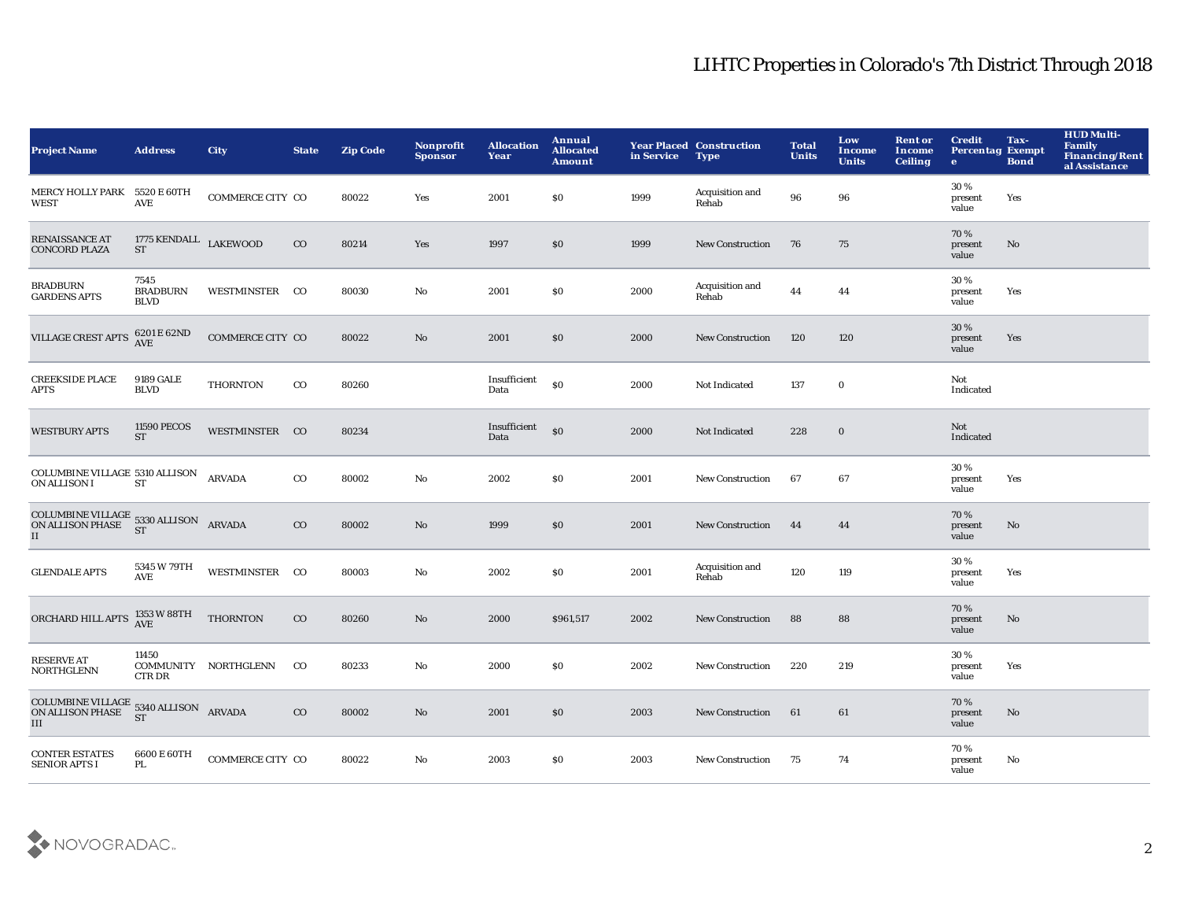| <b>Project Name</b>                                                                                                                                                                              | <b>Address</b>                         | <b>City</b>          | <b>State</b> | <b>Zip Code</b> | <b>Nonprofit</b><br><b>Sponsor</b> | <b>Allocation</b><br>Year | Annual<br><b>Allocated</b><br><b>Amount</b> | in Service | <b>Year Placed Construction</b><br><b>Type</b> | <b>Total</b><br><b>Units</b> | Low<br><b>Income</b><br><b>Units</b> | <b>Rent or</b><br><b>Income</b><br><b>Ceiling</b> | <b>Credit</b><br><b>Percentag Exempt</b><br>$\bullet$ | Tax-<br><b>Bond</b> | <b>HUD Multi-</b><br><b>Family</b><br>Financing/Rent<br>al Assistance |
|--------------------------------------------------------------------------------------------------------------------------------------------------------------------------------------------------|----------------------------------------|----------------------|--------------|-----------------|------------------------------------|---------------------------|---------------------------------------------|------------|------------------------------------------------|------------------------------|--------------------------------------|---------------------------------------------------|-------------------------------------------------------|---------------------|-----------------------------------------------------------------------|
| MERCY HOLLY PARK 5520 E 60TH<br><b>WEST</b>                                                                                                                                                      | <b>AVE</b>                             | COMMERCE CITY CO     |              | 80022           | Yes                                | 2001                      | \$0                                         | 1999       | Acquisition and<br>Rehab                       | 96                           | 96                                   |                                                   | 30 %<br>present<br>value                              | Yes                 |                                                                       |
| RENAISSANCE AT<br><b>CONCORD PLAZA</b>                                                                                                                                                           | 1775 KENDALL LAKEWOOD<br><b>ST</b>     |                      | $_{\rm CO}$  | 80214           | Yes                                | 1997                      | \$0                                         | 1999       | <b>New Construction</b>                        | 76                           | 75                                   |                                                   | 70%<br>present<br>value                               | No                  |                                                                       |
| <b>BRADBURN</b><br><b>GARDENS APTS</b>                                                                                                                                                           | 7545<br><b>BRADBURN</b><br><b>BLVD</b> | WESTMINSTER CO       |              | 80030           | $\mathbf {No}$                     | 2001                      | \$0                                         | 2000       | Acquisition and<br>Rehab                       | 44                           | 44                                   |                                                   | 30 %<br>present<br>value                              | Yes                 |                                                                       |
| VILLAGE CREST APTS                                                                                                                                                                               | 6201 E 62ND<br><b>AVE</b>              | COMMERCE CITY CO     |              | 80022           | $\rm\thinspace No$                 | 2001                      | \$0                                         | 2000       | <b>New Construction</b>                        | 120                          | 120                                  |                                                   | 30 %<br>present<br>value                              | Yes                 |                                                                       |
| <b>CREEKSIDE PLACE</b><br><b>APTS</b>                                                                                                                                                            | <b>9189 GALE</b><br><b>BLVD</b>        | <b>THORNTON</b>      | $_{\rm CO}$  | 80260           |                                    | Insufficient<br>Data      | S <sub>0</sub>                              | 2000       | Not Indicated                                  | 137                          | $\bf{0}$                             |                                                   | Not<br>Indicated                                      |                     |                                                                       |
| <b>WESTBURY APTS</b>                                                                                                                                                                             | <b>11590 PECOS</b><br><b>ST</b>        | WESTMINSTER CO       |              | 80234           |                                    | Insufficient<br>Data      | \$0                                         | 2000       | Not Indicated                                  | 228                          | $\bf{0}$                             |                                                   | Not<br>Indicated                                      |                     |                                                                       |
| COLUMBINE VILLAGE 5310 ALLISON<br>ON ALLISON I                                                                                                                                                   | <b>ST</b>                              | <b>ARVADA</b>        | $_{\rm CO}$  | 80002           | No                                 | 2002                      | <b>SO</b>                                   | 2001       | <b>New Construction</b>                        | 67                           | 67                                   |                                                   | 30%<br>present<br>value                               | Yes                 |                                                                       |
| COLUMBINE VILLAGE 5330 ALLISON ARVADA<br>ON ALLISON PHASE $_{\rm ST}^{\rm CT}$<br>II                                                                                                             | <b>ST</b>                              |                      | $_{\rm CO}$  | 80002           | No                                 | 1999                      | \$0                                         | 2001       | <b>New Construction</b>                        | 44                           | 44                                   |                                                   | 70%<br>present<br>value                               | No                  |                                                                       |
| <b>GLENDALE APTS</b>                                                                                                                                                                             | 5345 W 79TH<br><b>AVE</b>              | WESTMINSTER CO       |              | 80003           | $\mathbf{No}$                      | 2002                      | \$0                                         | 2001       | Acquisition and<br>Rehab                       | 120                          | 119                                  |                                                   | 30%<br>present<br>value                               | Yes                 |                                                                       |
| ORCHARD HILL APTS                                                                                                                                                                                | 1353 W 88TH<br><b>AVE</b>              | <b>THORNTON</b>      | $_{\rm CO}$  | 80260           | $\mathbf{No}$                      | 2000                      | \$961,517                                   | 2002       | <b>New Construction</b>                        | 88                           | 88                                   |                                                   | 70%<br>present<br>value                               | No                  |                                                                       |
| <b>RESERVE AT</b><br><b>NORTHGLENN</b>                                                                                                                                                           | 11450<br><b>CTRDR</b>                  | COMMUNITY NORTHGLENN | $_{\rm CO}$  | 80233           | No                                 | 2000                      | \$0                                         | 2002       | <b>New Construction</b>                        | 220                          | 219                                  |                                                   | 30%<br>present<br>value                               | Yes                 |                                                                       |
| $\begin{tabular}{ll} \multicolumn{2}{l}{{\bf COLUMBINE VILLAGE}} & 5340 ALLISON \\ \multicolumn{2}{l}{ON ALLISON PHASE} & 5340 ALLISON \\ \multicolumn{2}{l}{{\bf ARVADA}} \end{tabular}$<br>III | <b>ST</b>                              |                      | $_{\rm CO}$  | 80002           | No                                 | 2001                      | \$0                                         | 2003       | <b>New Construction</b>                        | 61                           | 61                                   |                                                   | 70%<br>present<br>value                               | No                  |                                                                       |
| <b>CONTER ESTATES</b><br><b>SENIOR APTS I</b>                                                                                                                                                    | 6600 E 60TH<br>PL                      | COMMERCE CITY CO     |              | 80022           | No                                 | 2003                      | <b>SO</b>                                   | 2003       | <b>New Construction</b>                        | 75                           | 74                                   |                                                   | 70%<br>present<br>value                               | No                  |                                                                       |

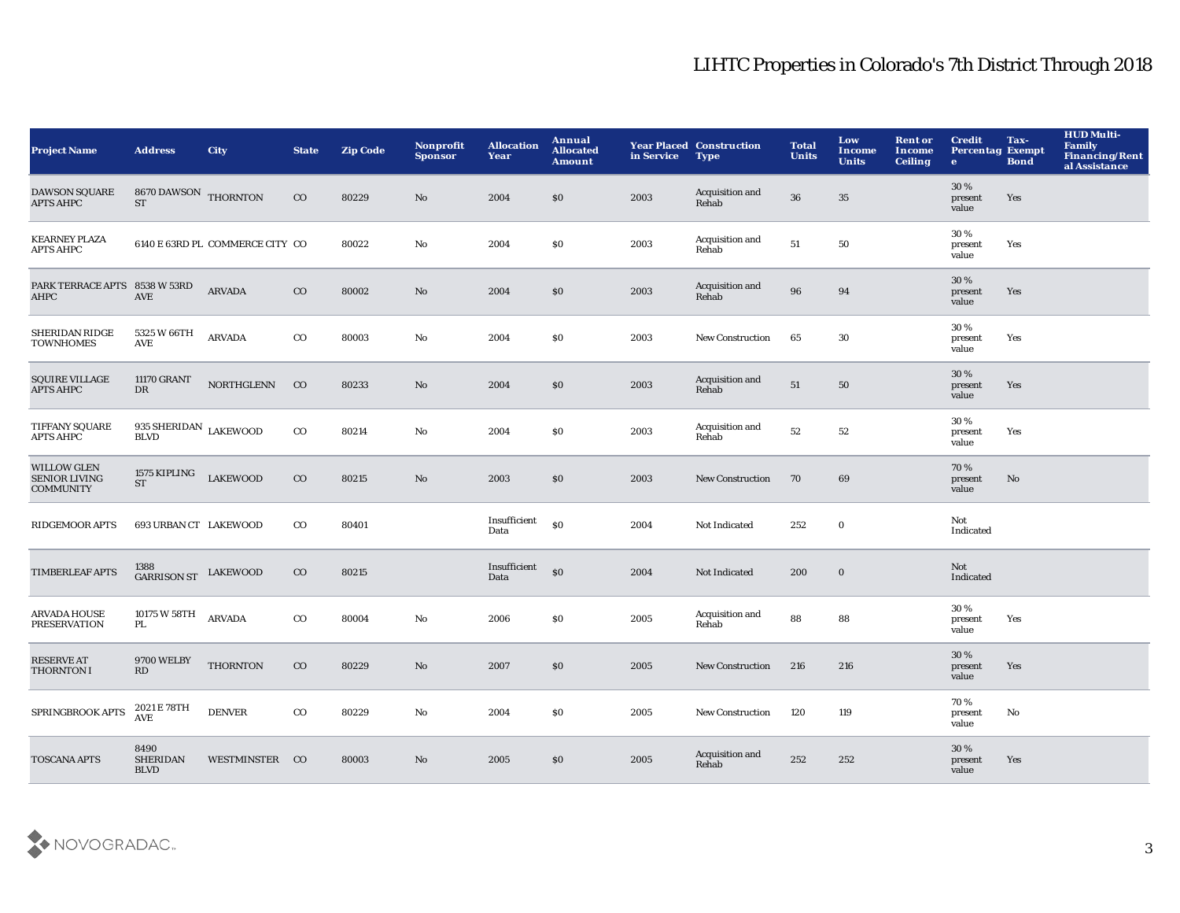| <b>Project Name</b>                                            | <b>Address</b>                                | <b>City</b>                     | <b>State</b> | <b>Zip Code</b> | <b>Nonprofit</b><br><b>Sponsor</b> | <b>Allocation</b><br>Year | Annual<br><b>Allocated</b><br><b>Amount</b> | in Service | <b>Year Placed Construction</b><br><b>Type</b> | <b>Total</b><br><b>Units</b> | Low<br>Income<br><b>Units</b> | <b>Rent or</b><br><b>Income</b><br><b>Ceiling</b> | <b>Credit</b><br><b>Percentag Exempt</b><br>$\bullet$ | Tax-<br><b>Bond</b> | <b>HUD Multi-</b><br><b>Family</b><br>Financing/Rent<br>al Assistance |
|----------------------------------------------------------------|-----------------------------------------------|---------------------------------|--------------|-----------------|------------------------------------|---------------------------|---------------------------------------------|------------|------------------------------------------------|------------------------------|-------------------------------|---------------------------------------------------|-------------------------------------------------------|---------------------|-----------------------------------------------------------------------|
| <b>DAWSON SQUARE</b><br><b>APTS AHPC</b>                       | 8670 DAWSON THORNTON<br><b>ST</b>             |                                 | $\rm{CO}$    | 80229           | $\mathbf{N}\mathbf{o}$             | 2004                      | \$0                                         | 2003       | Acquisition and<br>Rehab                       | 36                           | $35\,$                        |                                                   | 30 %<br>present<br>value                              | Yes                 |                                                                       |
| <b>KEARNEY PLAZA</b><br><b>APTS AHPC</b>                       |                                               | 6140 E 63RD PL COMMERCE CITY CO |              | 80022           | No                                 | 2004                      | \$0                                         | 2003       | Acquisition and<br>Rehab                       | 51                           | 50                            |                                                   | 30 %<br>present<br>value                              | Yes                 |                                                                       |
| PARK TERRACE APTS 8538 W 53RD<br>AHPC                          | AVE                                           | <b>ARVADA</b>                   | $_{\rm CO}$  | 80002           | $\mathbf{N}\mathbf{o}$             | 2004                      | \$0                                         | 2003       | Acquisition and<br>Rehab                       | 96                           | 94                            |                                                   | 30 %<br>present<br>value                              | Yes                 |                                                                       |
| SHERIDAN RIDGE<br><b>TOWNHOMES</b>                             | 5325 W 66TH<br><b>AVE</b>                     | <b>ARVADA</b>                   | $_{\rm CO}$  | 80003           | $\rm No$                           | 2004                      | \$0                                         | 2003       | New Construction                               | 65                           | 30                            |                                                   | 30%<br>present<br>value                               | Yes                 |                                                                       |
| <b>SQUIRE VILLAGE</b><br><b>APTS AHPC</b>                      | 11170 GRANT<br>$_{\rm DR}$                    | <b>NORTHGLENN</b>               | CO           | 80233           | $\mathbf{N}\mathbf{o}$             | 2004                      | \$0                                         | 2003       | Acquisition and<br>Rehab                       | ${\bf 51}$                   | 50                            |                                                   | 30%<br>present<br>value                               | Yes                 |                                                                       |
| TIFFANY SQUARE<br><b>APTS AHPC</b>                             | 935 SHERIDAN $_{\rm LAKEWOOD}$<br><b>BLVD</b> |                                 | $_{\rm CO}$  | 80214           | No                                 | 2004                      | \$0                                         | 2003       | Acquisition and<br>Rehab                       | 52                           | 52                            |                                                   | 30%<br>present<br>value                               | Yes                 |                                                                       |
| <b>WILLOW GLEN</b><br><b>SENIOR LIVING</b><br><b>COMMUNITY</b> | 1575 KIPLING<br><b>ST</b>                     | <b>LAKEWOOD</b>                 | $_{\rm CO}$  | 80215           | $\mathbf{N}\mathbf{o}$             | 2003                      | \$0                                         | 2003       | <b>New Construction</b>                        | 70                           | 69                            |                                                   | 70%<br>present<br>value                               | No                  |                                                                       |
| <b>RIDGEMOOR APTS</b>                                          | 693 URBAN CT LAKEWOOD                         |                                 | $_{\rm CO}$  | 80401           |                                    | Insufficient<br>Data      | \$0                                         | 2004       | Not Indicated                                  | 252                          | $\mathbf 0$                   |                                                   | Not<br>Indicated                                      |                     |                                                                       |
| <b>TIMBERLEAF APTS</b>                                         | 1388<br>GARRISON ST LAKEWOOD                  |                                 | $\rm{CO}$    | 80215           |                                    | Insufficient<br>Data      | \$0                                         | 2004       | Not Indicated                                  | 200                          | $\bf{0}$                      |                                                   | Not<br>Indicated                                      |                     |                                                                       |
| <b>ARVADA HOUSE</b><br><b>PRESERVATION</b>                     | 10175 W 58TH<br>PL                            | <b>ARVADA</b>                   | $_{\rm CO}$  | 80004           | $\rm No$                           | 2006                      | \$0                                         | 2005       | Acquisition and<br>Rehab                       | 88                           | 88                            |                                                   | 30%<br>present<br>value                               | Yes                 |                                                                       |
| <b>RESERVE AT</b><br><b>THORNTON I</b>                         | 9700 WELBY<br>RD                              | <b>THORNTON</b>                 | $\rm{CO}$    | 80229           | $\mathbf{N}\mathbf{o}$             | 2007                      | \$0                                         | 2005       | <b>New Construction</b>                        | 216                          | 216                           |                                                   | 30 %<br>present<br>value                              | Yes                 |                                                                       |
| SPRINGBROOK APTS                                               | 2021 E 78TH<br>AVE                            | <b>DENVER</b>                   | $_{\rm CO}$  | 80229           | $\mathbf{No}$                      | 2004                      | \$0                                         | 2005       | <b>New Construction</b>                        | 120                          | 119                           |                                                   | 70%<br>present<br>value                               | No                  |                                                                       |
| <b>TOSCANA APTS</b>                                            | 8490<br><b>SHERIDAN</b><br><b>BLVD</b>        | WESTMINSTER CO                  |              | 80003           | No                                 | 2005                      | \$0                                         | 2005       | Acquisition and<br>Rehab                       | 252                          | 252                           |                                                   | 30%<br>present<br>value                               | Yes                 |                                                                       |

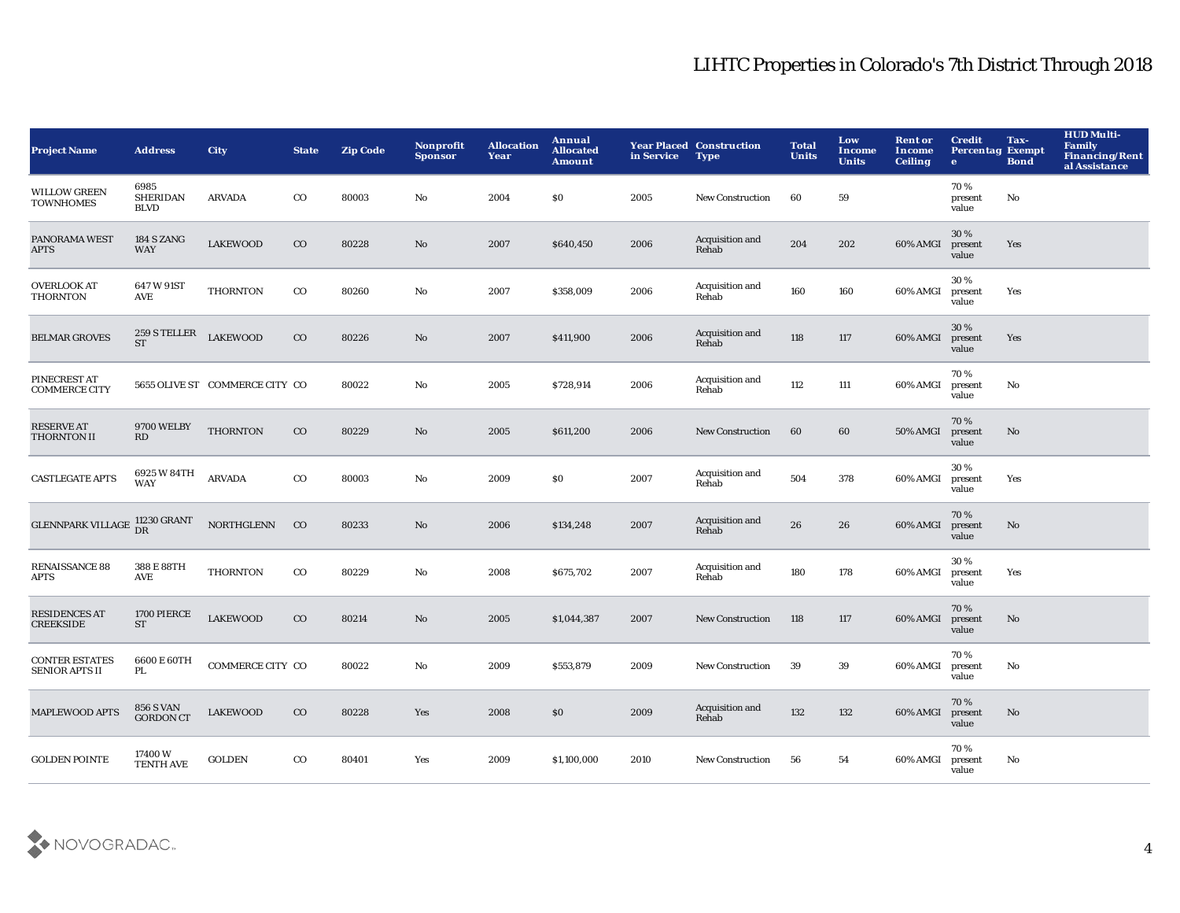| <b>Project Name</b>                            | <b>Address</b>                         | <b>City</b>                    | <b>State</b> | <b>Zip Code</b> | Nonprofit<br><b>Sponsor</b> | <b>Allocation</b><br>Year | <b>Annual</b><br><b>Allocated</b><br><b>Amount</b> | in Service | <b>Year Placed Construction</b><br><b>Type</b> | <b>Total</b><br><b>Units</b> | Low<br><b>Income</b><br><b>Units</b> | <b>Rent or</b><br><b>Income</b><br><b>Ceiling</b> | <b>Credit</b><br><b>Percentag Exempt</b><br>$\bullet$ | Tax-<br><b>Bond</b> | <b>HUD Multi-</b><br><b>Family</b><br>Financing/Rent<br>al Assistance |
|------------------------------------------------|----------------------------------------|--------------------------------|--------------|-----------------|-----------------------------|---------------------------|----------------------------------------------------|------------|------------------------------------------------|------------------------------|--------------------------------------|---------------------------------------------------|-------------------------------------------------------|---------------------|-----------------------------------------------------------------------|
| <b>WILLOW GREEN</b><br><b>TOWNHOMES</b>        | 6985<br><b>SHERIDAN</b><br><b>BLVD</b> | <b>ARVADA</b>                  | $_{\rm CO}$  | 80003           | No                          | 2004                      | \$0                                                | 2005       | <b>New Construction</b>                        | 60                           | 59                                   |                                                   | 70%<br>present<br>value                               | No                  |                                                                       |
| PANORAMA WEST<br><b>APTS</b>                   | 184 S ZANG<br><b>WAY</b>               | <b>LAKEWOOD</b>                | $_{\rm CO}$  | 80228           | No                          | 2007                      | \$640,450                                          | 2006       | Acquisition and<br>Rehab                       | 204                          | 202                                  | 60% AMGI                                          | 30%<br>present<br>value                               | Yes                 |                                                                       |
| <b>OVERLOOK AT</b><br><b>THORNTON</b>          | 647 W 91ST<br>AVE                      | <b>THORNTON</b>                | $_{\rm CO}$  | 80260           | No                          | 2007                      | \$358,009                                          | 2006       | Acquisition and<br>Rehab                       | 160                          | 160                                  | 60% AMGI                                          | 30%<br>present<br>value                               | Yes                 |                                                                       |
| <b>BELMAR GROVES</b>                           | 259 S TELLER<br><b>ST</b>              | <b>LAKEWOOD</b>                | $_{\rm CO}$  | 80226           | No                          | 2007                      | \$411,900                                          | 2006       | Acquisition and<br>Rehab                       | 118                          | 117                                  | 60% AMGI                                          | 30%<br>present<br>value                               | Yes                 |                                                                       |
| PINECREST AT<br><b>COMMERCE CITY</b>           |                                        | 5655 OLIVE ST COMMERCE CITY CO |              | 80022           | No                          | 2005                      | \$728,914                                          | 2006       | Acquisition and<br>Rehab                       | 112                          | 111                                  | 60% AMGI                                          | 70%<br>present<br>value                               | No                  |                                                                       |
| <b>RESERVE AT</b><br>THORNTON II               | <b>9700 WELBY</b><br>RD                | <b>THORNTON</b>                | $_{\rm CO}$  | 80229           | No                          | 2005                      | \$611,200                                          | 2006       | <b>New Construction</b>                        | 60                           | 60                                   | 50% AMGI                                          | 70%<br>present<br>value                               | No                  |                                                                       |
| <b>CASTLEGATE APTS</b>                         | 6925 W 84TH<br><b>WAY</b>              | <b>ARVADA</b>                  | $_{\rm CO}$  | 80003           | $\mathbf {No}$              | 2009                      | \$0                                                | 2007       | Acquisition and<br>Rehab                       | 504                          | 378                                  | 60% AMGI                                          | 30%<br>present<br>value                               | Yes                 |                                                                       |
| <b>GLENNPARK VILLAGE</b>                       | 11230 GRANT<br>DR                      | <b>NORTHGLENN</b>              | CO           | 80233           | No                          | 2006                      | \$134,248                                          | 2007       | Acquisition and<br>Rehab                       | ${\bf 26}$                   | 26                                   | 60% AMGI                                          | 70%<br>present<br>value                               | No                  |                                                                       |
| <b>RENAISSANCE 88</b><br><b>APTS</b>           | 388 E 88TH<br>AVE                      | <b>THORNTON</b>                | $_{\rm CO}$  | 80229           | $\mathbf {No}$              | 2008                      | \$675,702                                          | 2007       | Acquisition and<br>Rehab                       | 180                          | 178                                  | 60% AMGI                                          | 30%<br>present<br>value                               | Yes                 |                                                                       |
| <b>RESIDENCES AT</b><br><b>CREEKSIDE</b>       | 1700 PIERCE<br><b>ST</b>               | <b>LAKEWOOD</b>                | $_{\rm CO}$  | 80214           | $\mathbf{N}\mathbf{o}$      | 2005                      | \$1,044,387                                        | 2007       | <b>New Construction</b>                        | 118                          | 117                                  | 60% AMGI                                          | 70%<br>present<br>value                               | $\mathbf{No}$       |                                                                       |
| <b>CONTER ESTATES</b><br><b>SENIOR APTS II</b> | 6600 E 60TH<br>PL                      | COMMERCE CITY CO               |              | 80022           | No                          | 2009                      | \$553,879                                          | 2009       | <b>New Construction</b>                        | 39                           | 39                                   | 60% AMGI                                          | 70%<br>present<br>value                               | No                  |                                                                       |
| <b>MAPLEWOOD APTS</b>                          | <b>856 S VAN</b><br><b>GORDON CT</b>   | <b>LAKEWOOD</b>                | $_{\rm CO}$  | 80228           | Yes                         | 2008                      | \$0                                                | 2009       | Acquisition and<br>Rehab                       | 132                          | 132                                  | 60% AMGI                                          | 70%<br>present<br>value                               | No                  |                                                                       |
| <b>GOLDEN POINTE</b>                           | 17400W<br><b>TENTH AVE</b>             | <b>GOLDEN</b>                  | $_{\rm CO}$  | 80401           | Yes                         | 2009                      | \$1,100,000                                        | 2010       | <b>New Construction</b>                        | 56                           | 54                                   | 60% AMGI                                          | 70%<br>present<br>value                               | No                  |                                                                       |

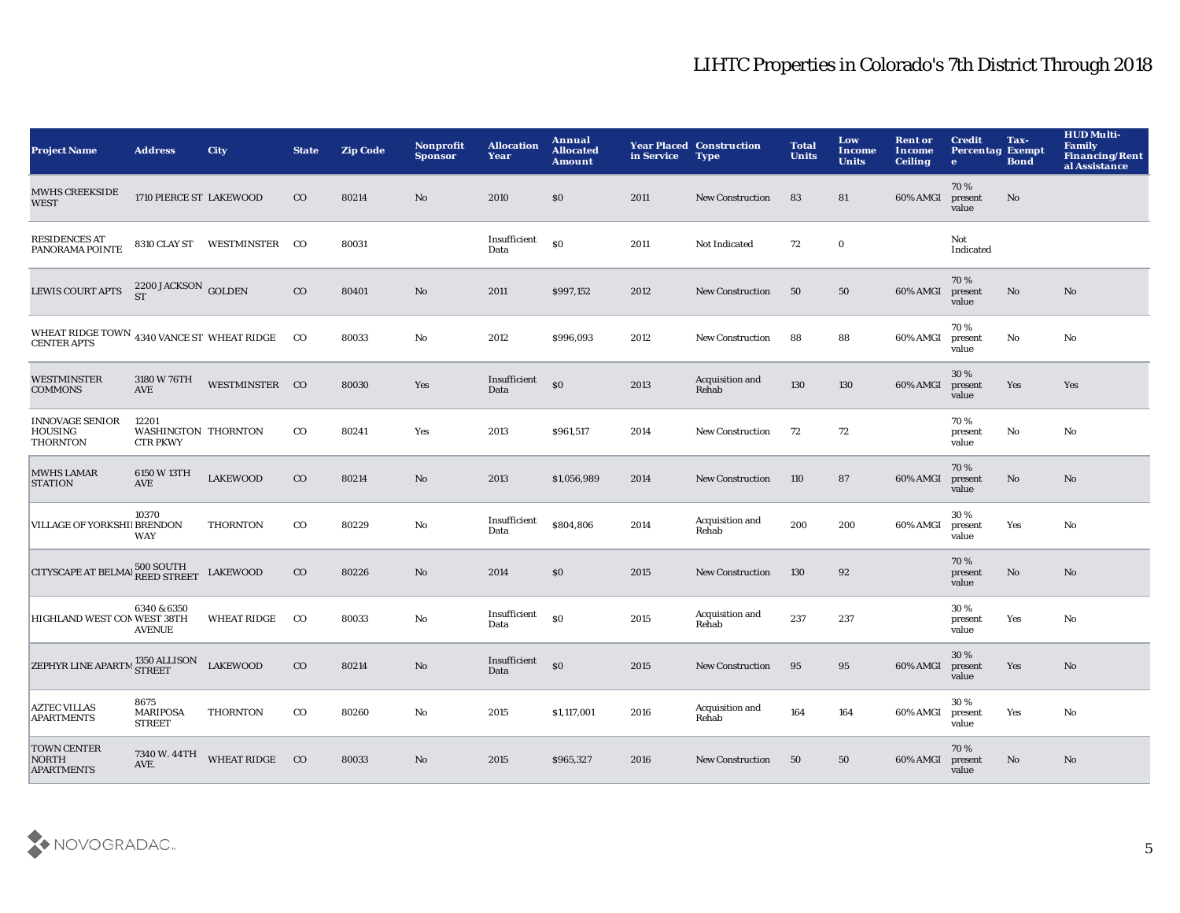| <b>Project Name</b>                                              | <b>Address</b>                                  | <b>City</b>                 | <b>State</b> | <b>Zip Code</b> | <b>Nonprofit</b><br><b>Sponsor</b> | <b>Allocation</b><br>Year | Annual<br><b>Allocated</b><br><b>Amount</b> | in Service | <b>Year Placed Construction</b><br><b>Type</b> | <b>Total</b><br><b>Units</b> | Low<br><b>Income</b><br><b>Units</b> | <b>Rent or</b><br><b>Income</b><br><b>Ceiling</b> | <b>Credit</b><br><b>Percentag Exempt</b><br>$\bullet$ | Tax-<br><b>Bond</b> | <b>HUD Multi-</b><br><b>Family</b><br><b>Financing/Rent</b><br>al Assistance |
|------------------------------------------------------------------|-------------------------------------------------|-----------------------------|--------------|-----------------|------------------------------------|---------------------------|---------------------------------------------|------------|------------------------------------------------|------------------------------|--------------------------------------|---------------------------------------------------|-------------------------------------------------------|---------------------|------------------------------------------------------------------------------|
| <b>MWHS CREEKSIDE</b><br><b>WEST</b>                             | 1710 PIERCE ST LAKEWOOD                         |                             | $_{\rm CO}$  | 80214           | $\mathbf{No}$                      | 2010                      | \$0                                         | 2011       | New Construction                               | 83                           | 81                                   | 60% AMGI                                          | 70%<br>present<br>value                               | No                  |                                                                              |
| <b>RESIDENCES AT</b><br>PANORAMA POINTE                          |                                                 | 8310 CLAY ST WESTMINSTER CO |              | 80031           |                                    | Insufficient<br>Data      | \$0                                         | 2011       | Not Indicated                                  | 72                           | $\mathbf 0$                          |                                                   | Not<br>Indicated                                      |                     |                                                                              |
| <b>LEWIS COURT APTS</b>                                          | $2200$ JACKSON $_{\rm GOLDEN}$                  |                             | $_{\rm CO}$  | 80401           | $\mathbf{N}\mathbf{o}$             | 2011                      | \$997,152                                   | 2012       | <b>New Construction</b>                        | 50                           | 50                                   | 60% AMGI                                          | 70%<br>present<br>value                               | $\mathbf{No}$       | No                                                                           |
| WHEAT RIDGE TOWN 4340 VANCE ST WHEAT RIDGE<br><b>CENTER APTS</b> |                                                 |                             | $_{\rm CO}$  | 80033           | No                                 | 2012                      | \$996,093                                   | 2012       | <b>New Construction</b>                        | 88                           | 88                                   | 60% AMGI                                          | 70%<br>present<br>value                               | $\mathbf{No}$       | No                                                                           |
| <b>WESTMINSTER</b><br><b>COMMONS</b>                             | 3180 W 76TH<br>AVE                              | WESTMINSTER CO              |              | 80030           | Yes                                | Insufficient<br>Data      | S <sub>0</sub>                              | 2013       | Acquisition and<br>Rehab                       | 130                          | 130                                  | 60% AMGI                                          | 30%<br>present<br>value                               | Yes                 | Yes                                                                          |
| <b>INNOVAGE SENIOR</b><br><b>HOUSING</b><br><b>THORNTON</b>      | 12201<br>WASHINGTON THORNTON<br><b>CTR PKWY</b> |                             | $_{\rm CO}$  | 80241           | Yes                                | 2013                      | \$961,517                                   | 2014       | <b>New Construction</b>                        | 72                           | 72                                   |                                                   | 70%<br>present<br>value                               | No                  | No                                                                           |
| <b>MWHS LAMAR</b><br><b>STATION</b>                              | 6150 W 13TH<br>AVE                              | <b>LAKEWOOD</b>             | $_{\rm CO}$  | 80214           | No                                 | 2013                      | \$1,056,989                                 | 2014       | <b>New Construction</b>                        | 110                          | 87                                   | 60% AMGI                                          | 70%<br>present<br>value                               | No                  | No                                                                           |
| VILLAGE OF YORKSHIJ BRENDON                                      | 10370<br><b>WAY</b>                             | <b>THORNTON</b>             | $_{\rm CO}$  | 80229           | No                                 | Insufficient<br>Data      | \$804,806                                   | 2014       | Acquisition and<br>Rehab                       | 200                          | 200                                  | 60% AMGI                                          | 30%<br>present<br>value                               | Yes                 | No                                                                           |
| <b>CITYSCAPE AT BELMAI<sup>500</sup> SOUTH</b>                   |                                                 | <b>LAKEWOOD</b>             | $_{\rm CO}$  | 80226           | $\mathbf{No}$                      | 2014                      | \$0                                         | 2015       | <b>New Construction</b>                        | 130                          | 92                                   |                                                   | 70%<br>present<br>value                               | No                  | No                                                                           |
| HIGHLAND WEST CON WEST 38TH                                      | 6340 & 6350<br><b>AVENUE</b>                    | <b>WHEAT RIDGE</b>          | $_{\rm CO}$  | 80033           | No                                 | Insufficient<br>Data      | \$0                                         | 2015       | Acquisition and<br>Rehab                       | 237                          | 237                                  |                                                   | 30%<br>present<br>value                               | Yes                 | No                                                                           |
| ZEPHYR LINE APARTM 350 ALLISON                                   |                                                 | <b>LAKEWOOD</b>             | $_{\rm CO}$  | 80214           | $\mathbf{No}$                      | Insufficient<br>Data      | S <sub>0</sub>                              | 2015       | New Construction                               | 95                           | 95                                   | 60% AMGI                                          | 30%<br>present<br>value                               | Yes                 | No                                                                           |
| <b>AZTEC VILLAS</b><br><b>APARTMENTS</b>                         | 8675<br><b>MARIPOSA</b><br><b>STREET</b>        | <b>THORNTON</b>             | $_{\rm CO}$  | 80260           | No                                 | 2015                      | \$1,117,001                                 | 2016       | Acquisition and<br>Rehab                       | 164                          | 164                                  | 60% AMGI                                          | 30%<br>present<br>value                               | Yes                 | No                                                                           |
| <b>TOWN CENTER</b><br><b>NORTH</b><br><b>APARTMENTS</b>          | 7340 W. 44TH<br>AVE.                            | <b>WHEAT RIDGE</b>          | CO           | 80033           | No                                 | 2015                      | \$965,327                                   | 2016       | <b>New Construction</b>                        | 50                           | 50                                   | 60% AMGI                                          | 70%<br>present<br>value                               | No                  | No                                                                           |

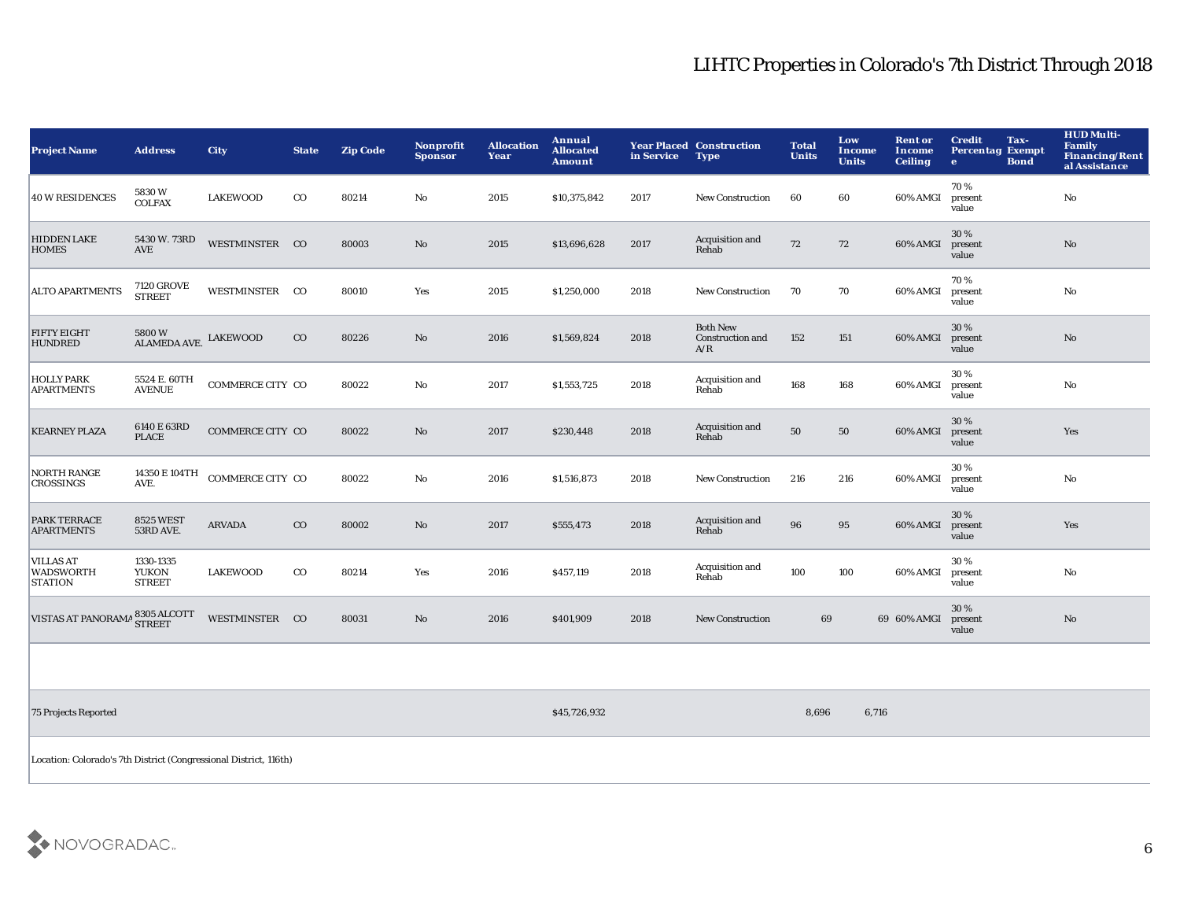| <b>Project Name</b>                                    | <b>Address</b>                             | <b>City</b>      | <b>State</b> | <b>Zip Code</b> | <b>Nonprofit</b><br><b>Sponsor</b> | <b>Allocation</b><br>Year | Annual<br><b>Allocated</b><br><b>Amount</b> | in Service | <b>Year Placed Construction</b><br><b>Type</b>    | <b>Total</b><br><b>Units</b> | Low<br>Income<br><b>Units</b> | <b>Rent or</b><br><b>Income</b><br><b>Ceiling</b> | <b>Credit</b><br>Tax-<br><b>Percentag Exempt</b><br><b>Bond</b><br>$\bullet$ | <b>HUD Multi-</b><br>Family<br><b>Financing/Rent</b><br>al Assistance |
|--------------------------------------------------------|--------------------------------------------|------------------|--------------|-----------------|------------------------------------|---------------------------|---------------------------------------------|------------|---------------------------------------------------|------------------------------|-------------------------------|---------------------------------------------------|------------------------------------------------------------------------------|-----------------------------------------------------------------------|
| 40 W RESIDENCES                                        | 5830W<br><b>COLFAX</b>                     | <b>LAKEWOOD</b>  | $_{\rm CO}$  | 80214           | No                                 | 2015                      | \$10,375,842                                | 2017       | <b>New Construction</b>                           | 60                           | 60                            | 60% AMGI                                          | 70%<br>present<br>value                                                      | No                                                                    |
| <b>HIDDEN LAKE</b><br><b>HOMES</b>                     | 5430 W. 73RD<br>$\operatorname{AVE}$       | WESTMINSTER CO   |              | 80003           | $\mathbf{N}\mathbf{o}$             | 2015                      | \$13,696,628                                | 2017       | Acquisition and<br>Rehab                          | 72                           | 72                            | 60% AMGI                                          | 30 %<br>present<br>value                                                     | No                                                                    |
| <b>ALTO APARTMENTS</b>                                 | <b>7120 GROVE</b><br><b>STREET</b>         | WESTMINSTER CO   |              | 80010           | Yes                                | 2015                      | \$1,250,000                                 | 2018       | <b>New Construction</b>                           | 70                           | 70                            | 60% AMGI                                          | 70%<br>present<br>value                                                      | $\mathbf{N}\mathbf{o}$                                                |
| <b>FIFTY EIGHT</b><br><b>HUNDRED</b>                   | 5800W<br>ALAMEDA AVE. LAKEWOOD             |                  | CO           | 80226           | No                                 | 2016                      | \$1,569,824                                 | 2018       | <b>Both New</b><br><b>Construction and</b><br>A/R | 152                          | 151                           | 60% AMGI                                          | 30%<br>present<br>value                                                      | No                                                                    |
| <b>HOLLY PARK</b><br><b>APARTMENTS</b>                 | 5524 E. 60TH<br><b>AVENUE</b>              | COMMERCE CITY CO |              | 80022           | No                                 | 2017                      | \$1,553,725                                 | 2018       | Acquisition and<br>Rehab                          | 168                          | 168                           | 60% AMGI                                          | 30%<br>present<br>value                                                      | No                                                                    |
| <b>KEARNEY PLAZA</b>                                   | 6140 E 63RD<br><b>PLACE</b>                | COMMERCE CITY CO |              | 80022           | $\mathbf{N}\mathbf{o}$             | 2017                      | \$230,448                                   | 2018       | Acquisition and<br>Rehab                          | 50                           | 50                            | 60% AMGI                                          | 30 %<br>present<br>value                                                     | Yes                                                                   |
| <b>NORTH RANGE</b><br><b>CROSSINGS</b>                 | 14350 E 104TH<br>AVE.                      | COMMERCE CITY CO |              | 80022           | $\mathbf{No}$                      | 2016                      | \$1,516,873                                 | 2018       | <b>New Construction</b>                           | 216                          | 216                           | 60% AMGI                                          | 30%<br>present<br>value                                                      | $\mathbf{N}\mathbf{o}$                                                |
| <b>PARK TERRACE</b><br><b>APARTMENTS</b>               | <b>8525 WEST</b><br>53RD AVE.              | <b>ARVADA</b>    | $_{\rm CO}$  | 80002           | No                                 | 2017                      | \$555,473                                   | 2018       | Acquisition and<br>Rehab                          | 96                           | 95                            | 60% AMGI                                          | 30%<br>present<br>value                                                      | Yes                                                                   |
| <b>VILLAS AT</b><br><b>WADSWORTH</b><br><b>STATION</b> | 1330-1335<br><b>YUKON</b><br><b>STREET</b> | <b>LAKEWOOD</b>  | $_{\rm CO}$  | 80214           | Yes                                | 2016                      | \$457,119                                   | 2018       | Acquisition and<br>Rehab                          | 100                          | 100                           | 60% AMGI                                          | 30%<br>present<br>value                                                      | No                                                                    |
| <b>VISTAS AT PANORAMA</b>                              | 8305 ALCOTT<br><b>STREET</b>               | WESTMINSTER CO   |              | 80031           | $\mathbf{N}\mathbf{o}$             | 2016                      | \$401,909                                   | 2018       | <b>New Construction</b>                           | 69                           |                               | 69 60% AMGI                                       | 30%<br>present<br>value                                                      | $\mathbf{N}\mathbf{o}$                                                |
|                                                        |                                            |                  |              |                 |                                    |                           |                                             |            |                                                   |                              |                               |                                                   |                                                                              |                                                                       |

75 Projects Reported \$45,726,932 8,696 6,716

Location: Colorado's 7th District (Congressional District, 116th)